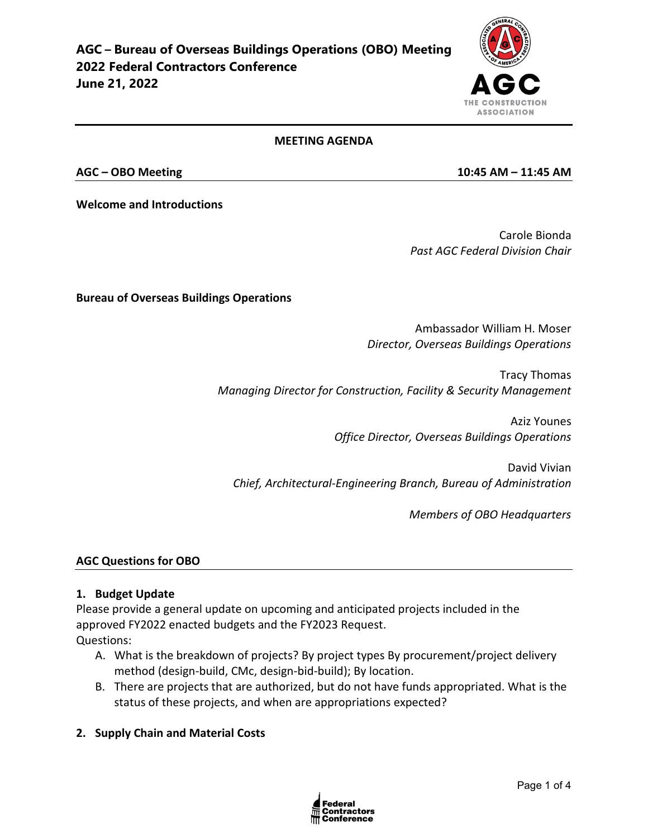

#### **MEETING AGENDA**

**Welcome and Introductions**

Carole Bionda *Past AGC Federal Division Chair* 

**Bureau of Overseas Buildings Operations**

Ambassador William H. Moser *Director, Overseas Buildings Operations*

Tracy Thomas *Managing Director for Construction, Facility & Security Management*

> Aziz Younes *Office Director, Overseas Buildings Operations*

David Vivian *Chief, Architectural-Engineering Branch, Bureau of Administration*

*Members of OBO Headquarters*

#### **AGC Questions for OBO**

#### **1. Budget Update**

Please provide a general update on upcoming and anticipated projects included in the approved FY2022 enacted budgets and the FY2023 Request. Questions:

- A. What is the breakdown of projects? By project types By procurement/project delivery method (design-build, CMc, design-bid-build); By location.
- B. There are projects that are authorized, but do not have funds appropriated. What is the status of these projects, and when are appropriations expected?
- **2. Supply Chain and Material Costs**



**AGC – OBO Meeting 10:45 AM – 11:45 AM**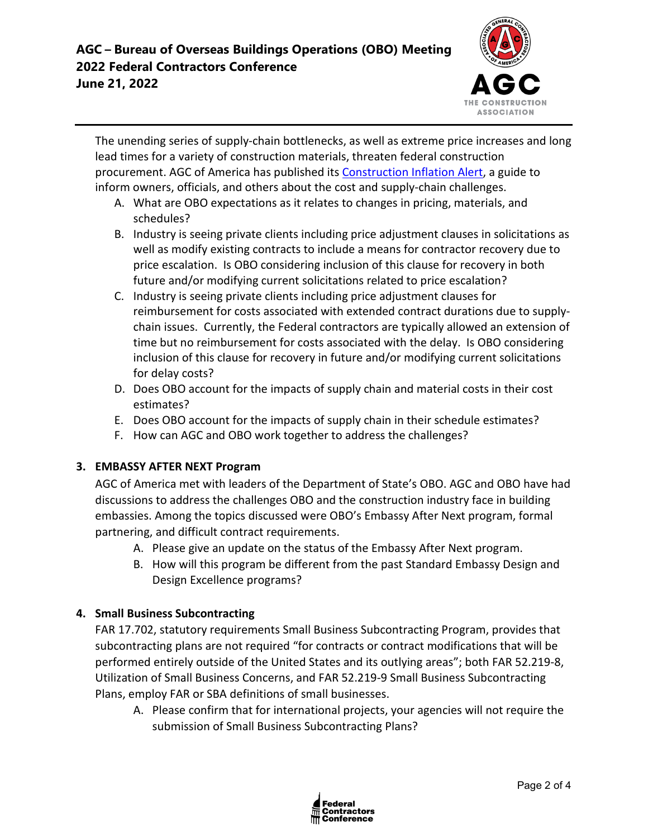

The unending series of supply-chain bottlenecks, as well as extreme price increases and long lead times for a variety of construction materials, threaten federal construction procurement. AGC of America has published its [Construction Inflation Alert,](https://www.agc.org/learn/construction-data/agc-construction-inflation-alert) a guide to inform owners, officials, and others about the cost and supply-chain challenges.

- A. What are OBO expectations as it relates to changes in pricing, materials, and schedules?
- B. Industry is seeing private clients including price adjustment clauses in solicitations as well as modify existing contracts to include a means for contractor recovery due to price escalation. Is OBO considering inclusion of this clause for recovery in both future and/or modifying current solicitations related to price escalation?
- C. Industry is seeing private clients including price adjustment clauses for reimbursement for costs associated with extended contract durations due to supplychain issues. Currently, the Federal contractors are typically allowed an extension of time but no reimbursement for costs associated with the delay. Is OBO considering inclusion of this clause for recovery in future and/or modifying current solicitations for delay costs?
- D. Does OBO account for the impacts of supply chain and material costs in their cost estimates?
- E. Does OBO account for the impacts of supply chain in their schedule estimates?
- F. How can AGC and OBO work together to address the challenges?

## **3. EMBASSY AFTER NEXT Program**

AGC of America met with leaders of the Department of State's OBO. AGC and OBO have had discussions to address the challenges OBO and the construction industry face in building embassies. Among the topics discussed were OBO's Embassy After Next program, formal partnering, and difficult contract requirements.

- A. Please give an update on the status of the Embassy After Next program.
- B. How will this program be different from the past Standard Embassy Design and Design Excellence programs?

## **4. Small Business Subcontracting**

FAR 17.702, statutory requirements Small Business Subcontracting Program, provides that subcontracting plans are not required "for contracts or contract modifications that will be performed entirely outside of the United States and its outlying areas"; both FAR 52.219-8, Utilization of Small Business Concerns, and FAR 52.219-9 Small Business Subcontracting Plans, employ FAR or SBA definitions of small businesses.

A. Please confirm that for international projects, your agencies will not require the submission of Small Business Subcontracting Plans?

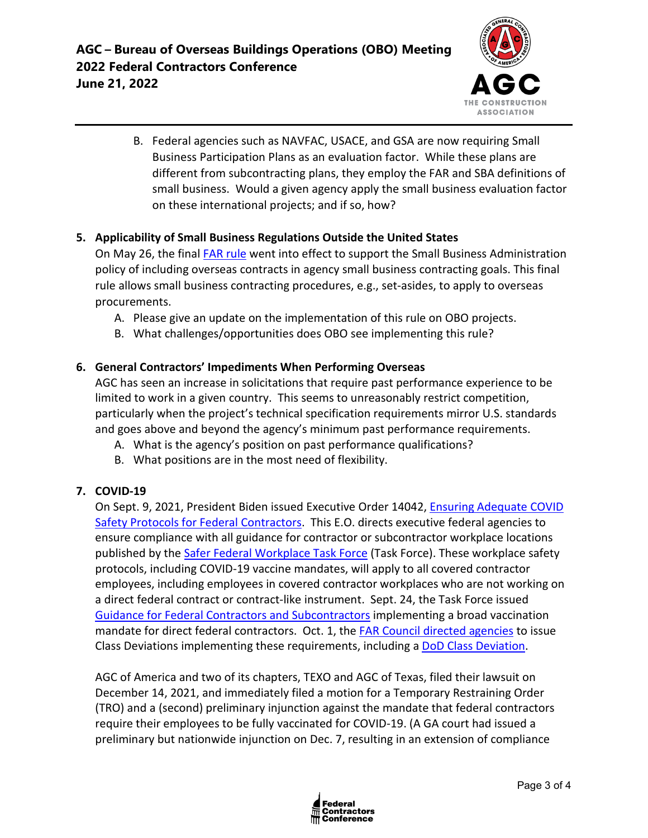

B. Federal agencies such as NAVFAC, USACE, and GSA are now requiring Small Business Participation Plans as an evaluation factor. While these plans are different from subcontracting plans, they employ the FAR and SBA definitions of small business. Would a given agency apply the small business evaluation factor on these international projects; and if so, how?

## **5. Applicability of Small Business Regulations Outside the United States**

On May 26, the final **FAR rule** went into effect to support the Small Business Administration policy of including overseas contracts in agency small business contracting goals. This final rule allows small business contracting procedures, e.g., set-asides, to apply to overseas procurements.

- A. Please give an update on the implementation of this rule on OBO projects.
- B. What challenges/opportunities does OBO see implementing this rule?

#### **6. General Contractors' Impediments When Performing Overseas**

AGC has seen an increase in solicitations that require past performance experience to be limited to work in a given country. This seems to unreasonably restrict competition, particularly when the project's technical specification requirements mirror U.S. standards and goes above and beyond the agency's minimum past performance requirements.

- A. What is the agency's position on past performance qualifications?
- B. What positions are in the most need of flexibility.

## **7. COVID-19**

On Sept. 9, 2021, President Biden issued Executive Order 14042, [Ensuring Adequate COVID](https://www.whitehouse.gov/briefing-room/presidential-actions/2021/09/09/executive-order-on-ensuring-adequate-covid-safety-protocols-for-federal-contractors/)  [Safety Protocols for Federal Contractors.](https://www.whitehouse.gov/briefing-room/presidential-actions/2021/09/09/executive-order-on-ensuring-adequate-covid-safety-protocols-for-federal-contractors/) This E.O. directs executive federal agencies to ensure compliance with all guidance for contractor or subcontractor workplace locations published by the [Safer Federal Workplace Task Force](https://www.saferfederalworkforce.gov/new/) (Task Force). These workplace safety protocols, including COVID-19 vaccine mandates, will apply to all covered contractor employees, including employees in covered contractor workplaces who are not working on a direct federal contract or contract-like instrument. Sept. 24, the Task Force issued [Guidance for Federal Contractors and Subcontractors](https://www.saferfederalworkforce.gov/downloads/Draft%20contractor%20guidance%20doc_20210922.pdf) implementing a broad vaccination mandate for direct federal contractors. Oct. 1, the [FAR Council directed agencies](https://www.saferfederalworkforce.gov/contractors/) to issue Class Deviations implementing these requirements, including a [DoD Class Deviation.](https://www.acq.osd.mil/dpap/policy/policyvault/USA001998-21-DPC.pdf)

AGC of America and two of its chapters, TEXO and AGC of Texas, filed their lawsuit on December 14, 2021, and immediately filed a motion for a Temporary Restraining Order (TRO) and a (second) preliminary injunction against the mandate that federal contractors require their employees to be fully vaccinated for COVID-19. (A GA court had issued a preliminary but nationwide injunction on Dec. 7, resulting in an extension of compliance